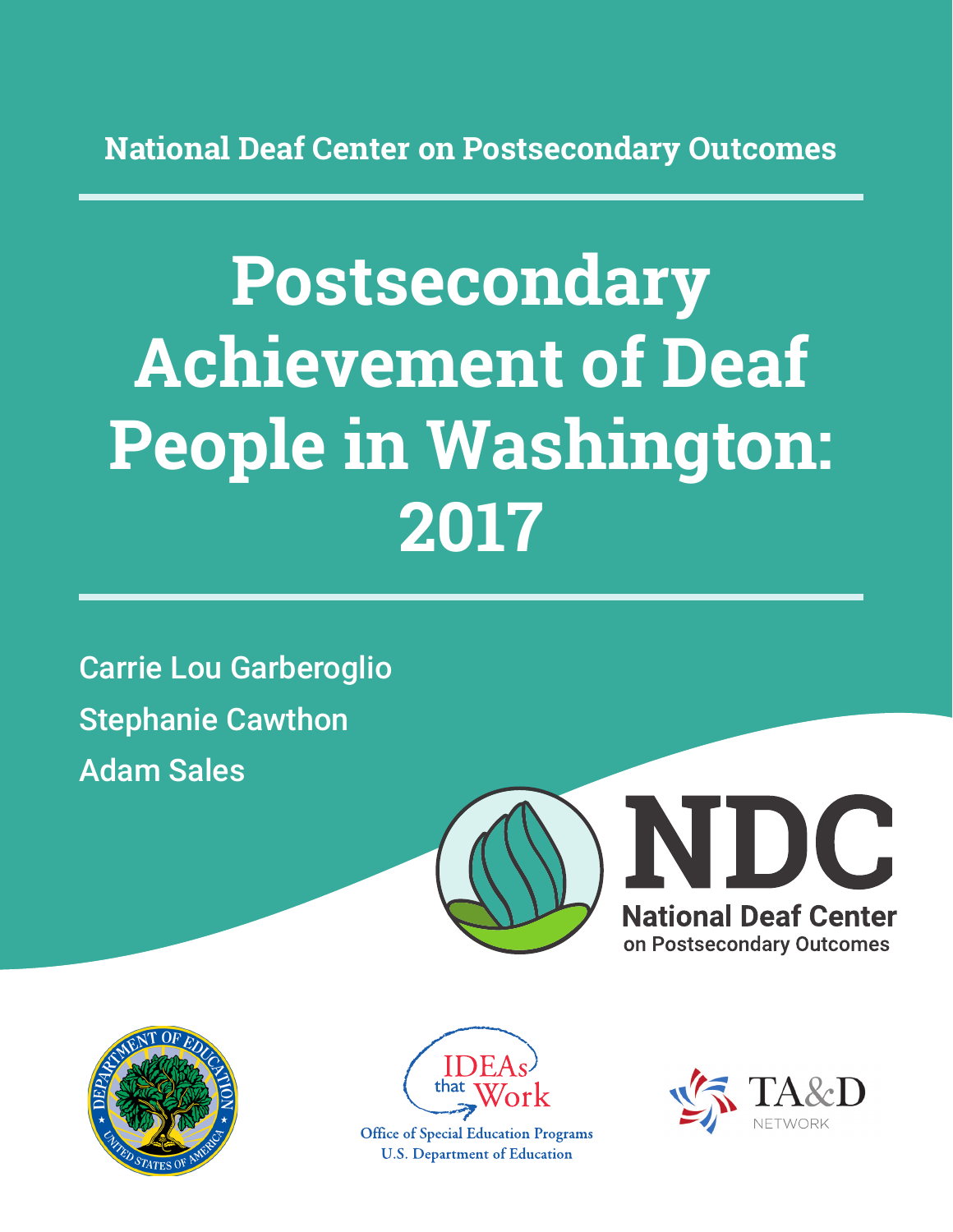**National Deaf Center on Postsecondary Outcomes**

# **Postsecondary Achievement of Deaf People in Washington: 2017**

Carrie Lou Garberoglio Stephanie Cawthon Adam Sales







**Office of Special Education Programs U.S. Department of Education** 

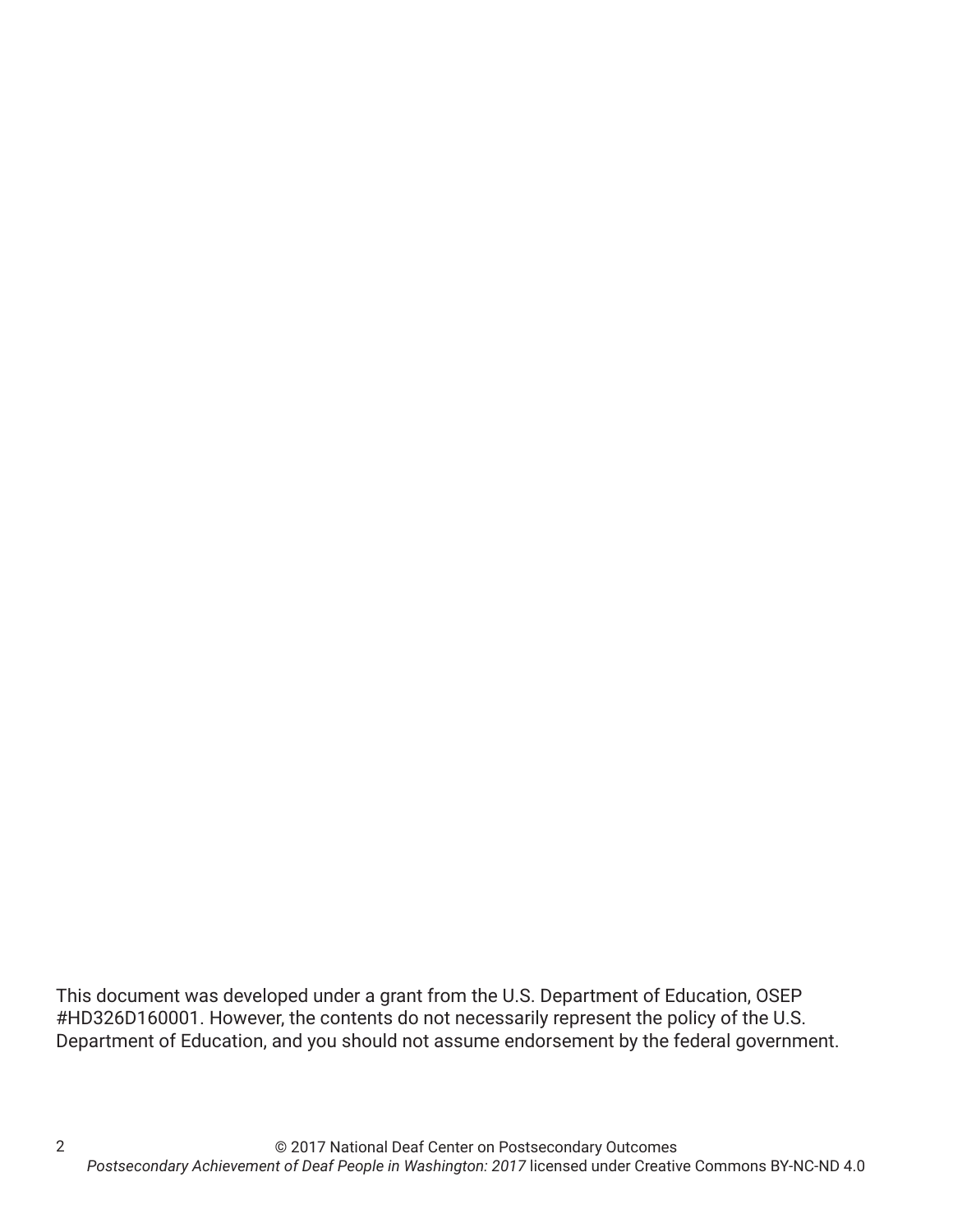This document was developed under a grant from the U.S. Department of Education, OSEP #HD326D160001. However, the contents do not necessarily represent the policy of the U.S. Department of Education, and you should not assume endorsement by the federal government.

2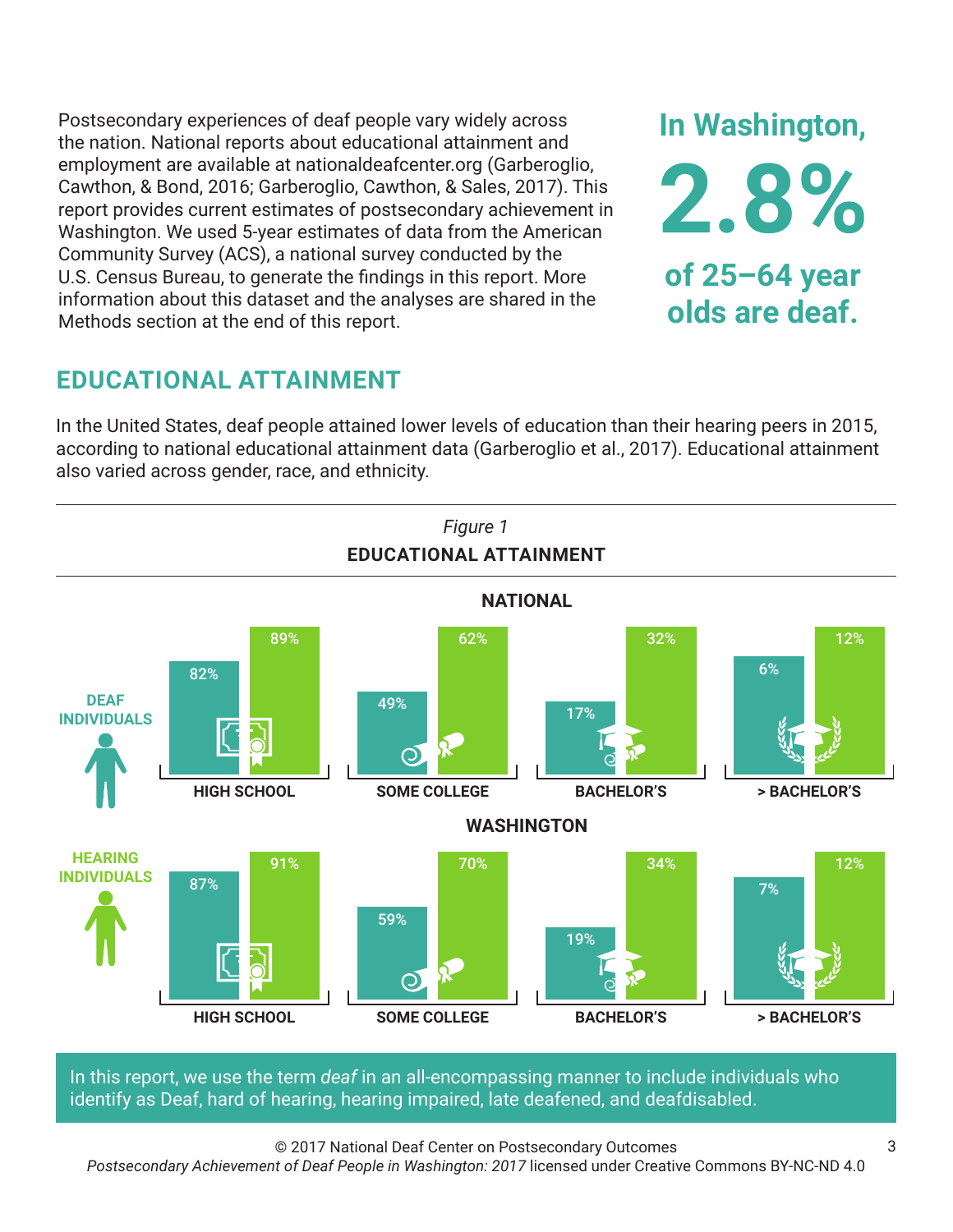Postsecondary experiences of deaf people vary widely across the nation. National reports about educational attainment and employment are available at nationaldeafcenter.org (Garberoglio, Cawthon, & Bond, 2016; Garberoglio, Cawthon, & Sales, 2017). This report provides current estimates of postsecondary achievement in Washington. We used 5-year estimates of data from the American Community Survey (ACS), a national survey conducted by the U.S. Census Bureau, to generate the findings in this report. More information about this dataset and the analyses are shared in the Methods section at the end of this report.

# **EDUCATIONAL ATTAINMENT**

In the United States, deaf people attained lower levels of education than their hearing peers in 2015, according to national educational attainment data (Garberoglio et al., 2017). Educational attainment also varied across gender, race, and ethnicity.



In this report, we use the term *deaf* in an all-encompassing manner to include individuals who identify as Deaf, hard of hearing, hearing impaired, late deafened, and deafdisabled.

© 2017 National Deaf Center on Postsecondary Outcomes

*Postsecondary Achievement of Deaf People in Washington: 2017* licensed under Creative Commons BY-NC-ND 4.0

**In Washington,**

**2.8%**

**of 25–64 year**

**olds are deaf.**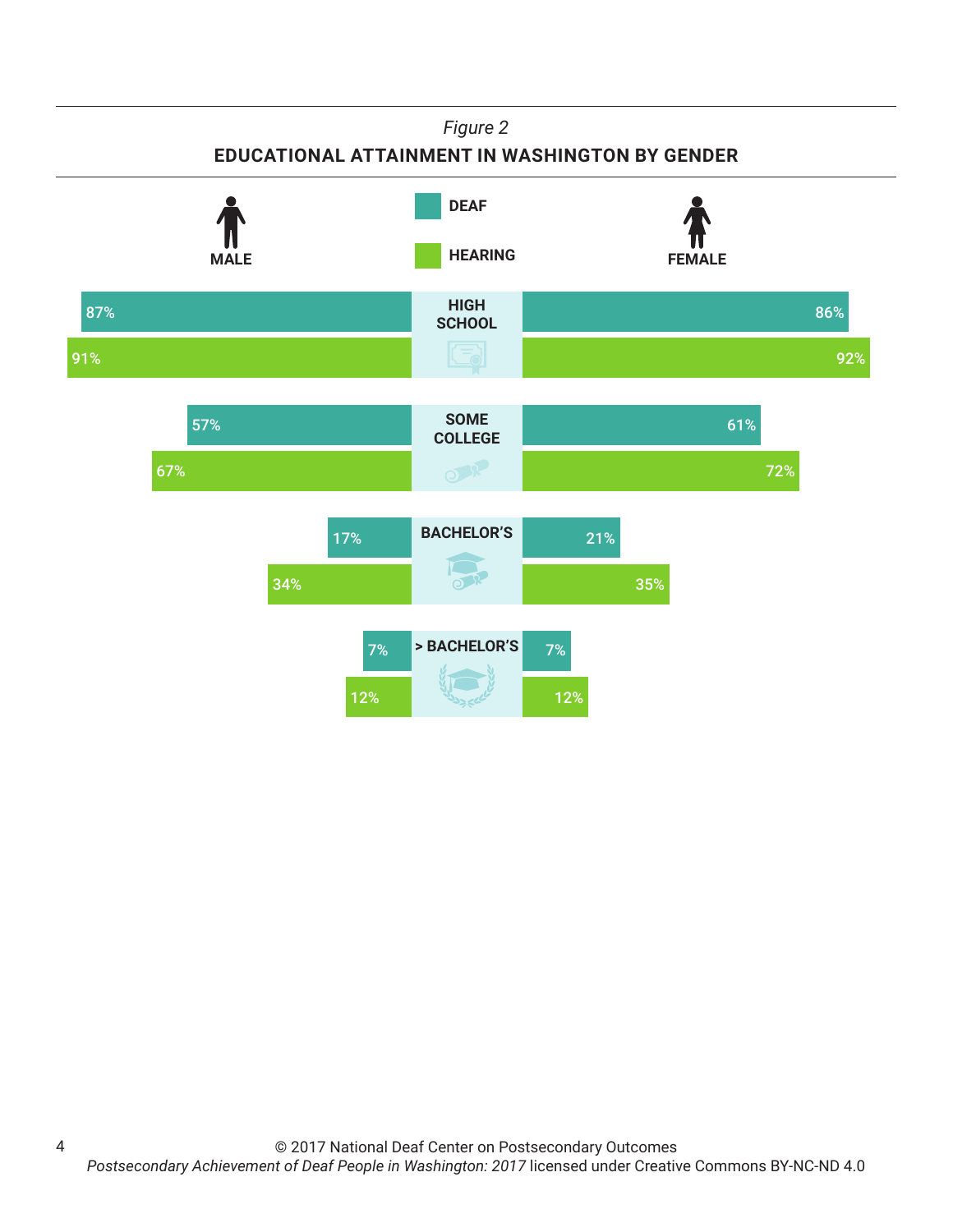#### *Figure 2*

#### **EDUCATIONAL ATTAINMENT IN WASHINGTON BY GENDER**



4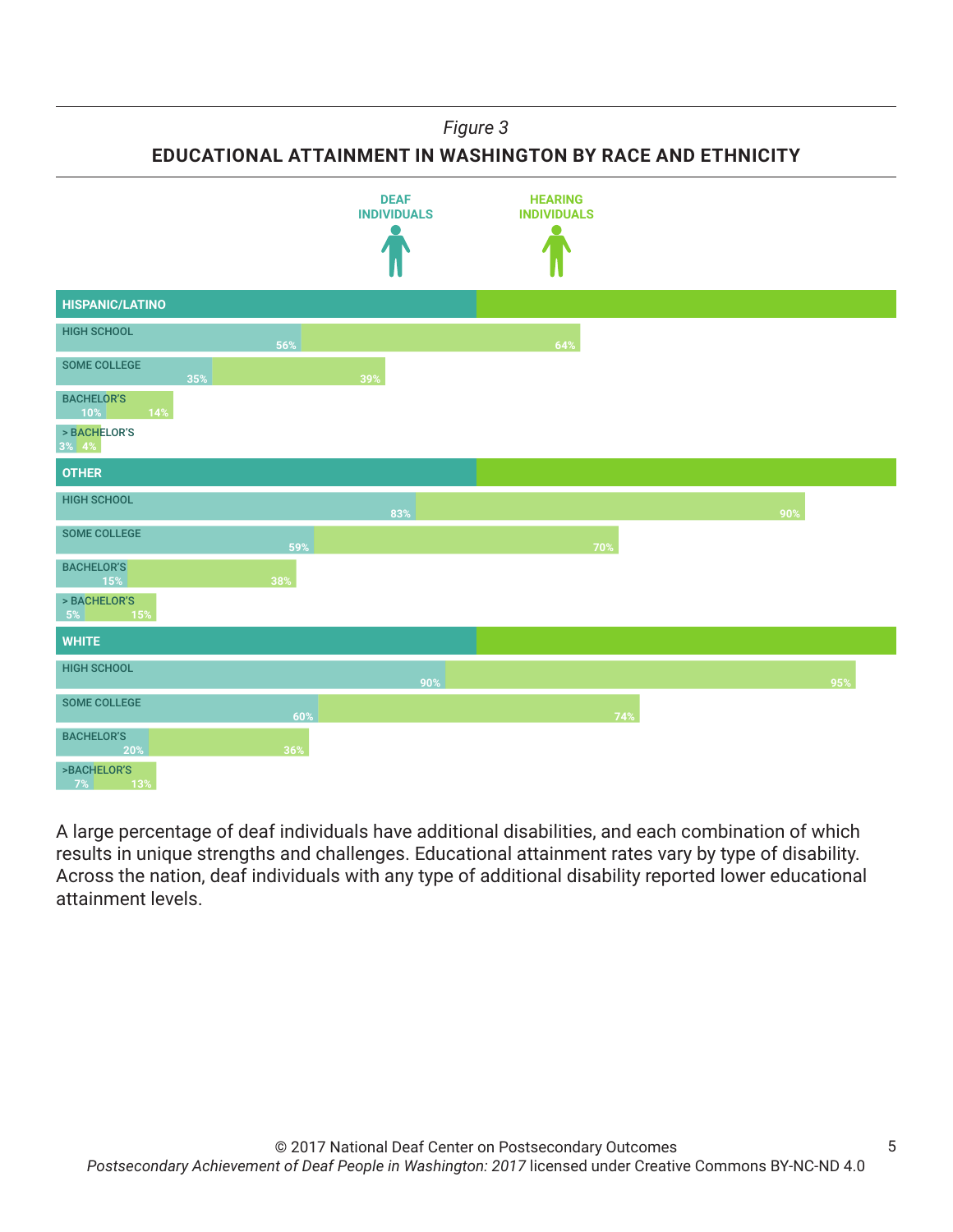*Figure 3*

**EDUCATIONAL ATTAINMENT IN WASHINGTON BY RACE AND ETHNICITY**



A large percentage of deaf individuals have additional disabilities, and each combination of which results in unique strengths and challenges. Educational attainment rates vary by type of disability. Across the nation, deaf individuals with any type of additional disability reported lower educational attainment levels.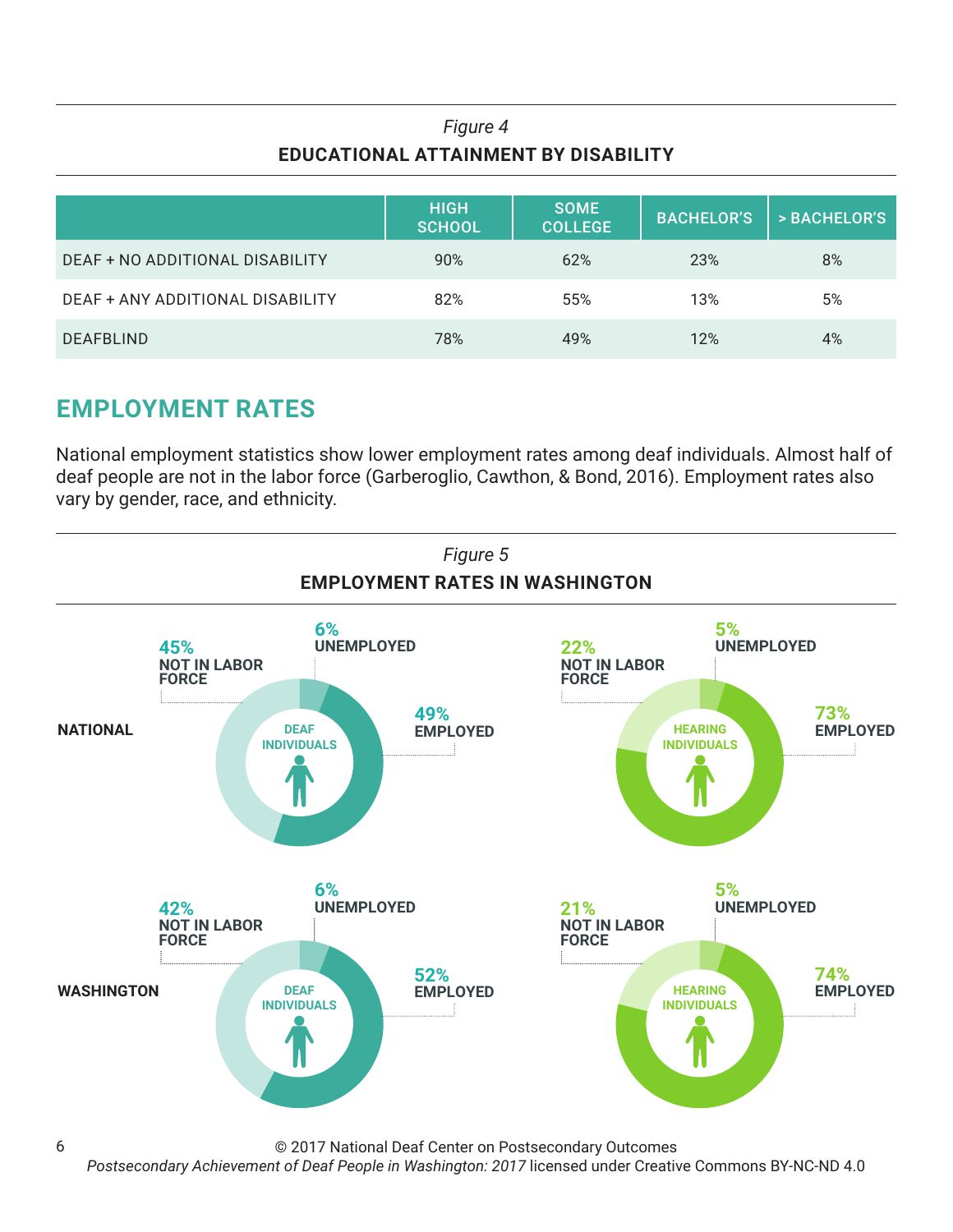## *Figure 4* **EDUCATIONAL ATTAINMENT BY DISABILITY**

|                                  | <b>HIGH</b><br><b>SCHOOL</b> | <b>SOME</b><br><b>COLLEGE</b> | <b>BACHELOR'S</b> | > BACHELOR'S |
|----------------------------------|------------------------------|-------------------------------|-------------------|--------------|
| DEAF + NO ADDITIONAL DISABILITY  | 90%                          | 62%                           | 23%               | 8%           |
| DEAF + ANY ADDITIONAL DISABILITY | 82%                          | 55%                           | 13%               | 5%           |
| <b>DEAFBLIND</b>                 | 78%                          | 49%                           | 12%               | 4%           |

# **EMPLOYMENT RATES**

National employment statistics show lower employment rates among deaf individuals. Almost half of deaf people are not in the labor force (Garberoglio, Cawthon, & Bond, 2016). Employment rates also vary by gender, race, and ethnicity.



© 2017 National Deaf Center on Postsecondary Outcomes

*Postsecondary Achievement of Deaf People in Washington: 2017* licensed under Creative Commons BY-NC-ND 4.0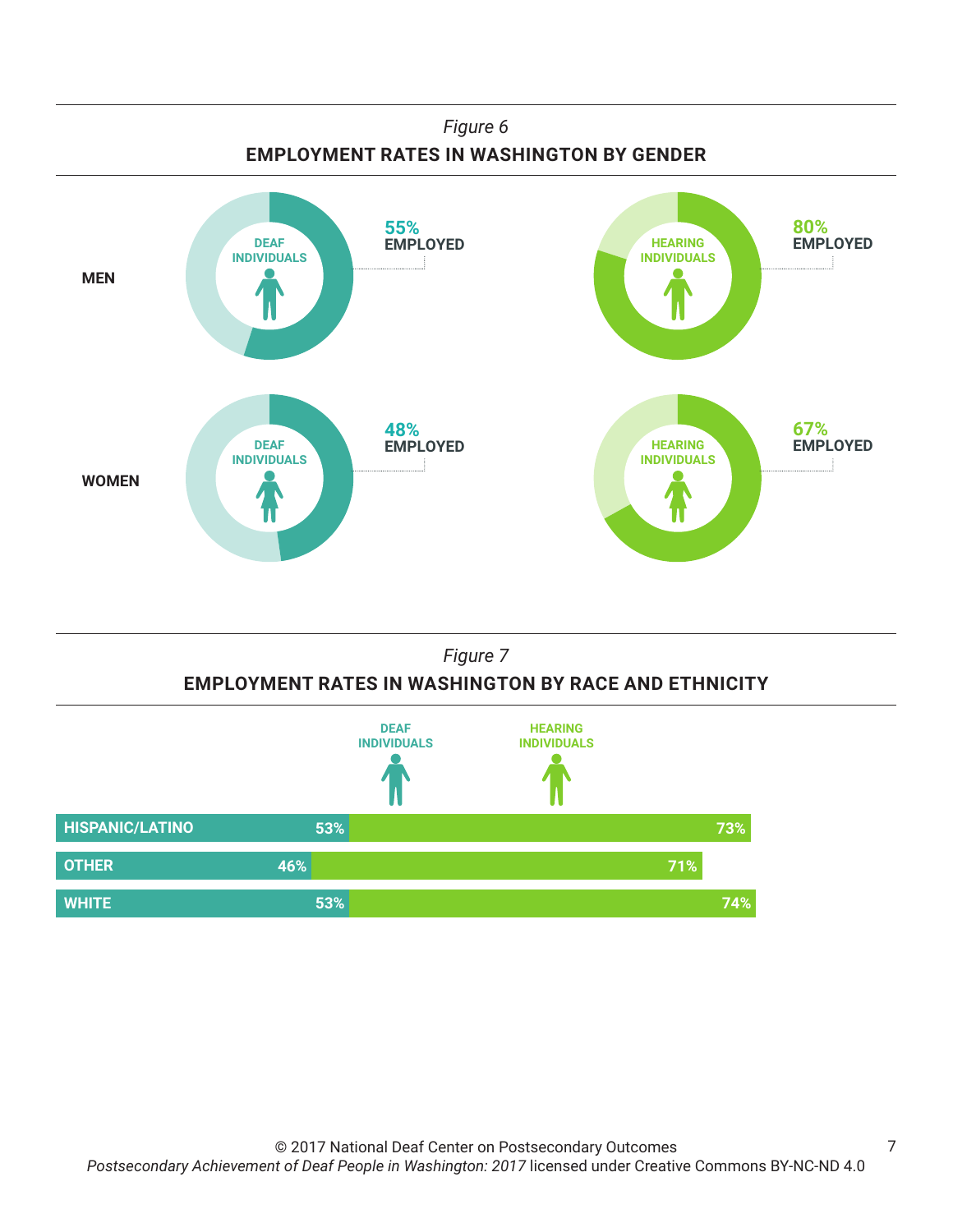

### *Figure 7* **EMPLOYMENT RATES IN WASHINGTON BY RACE AND ETHNICITY**



7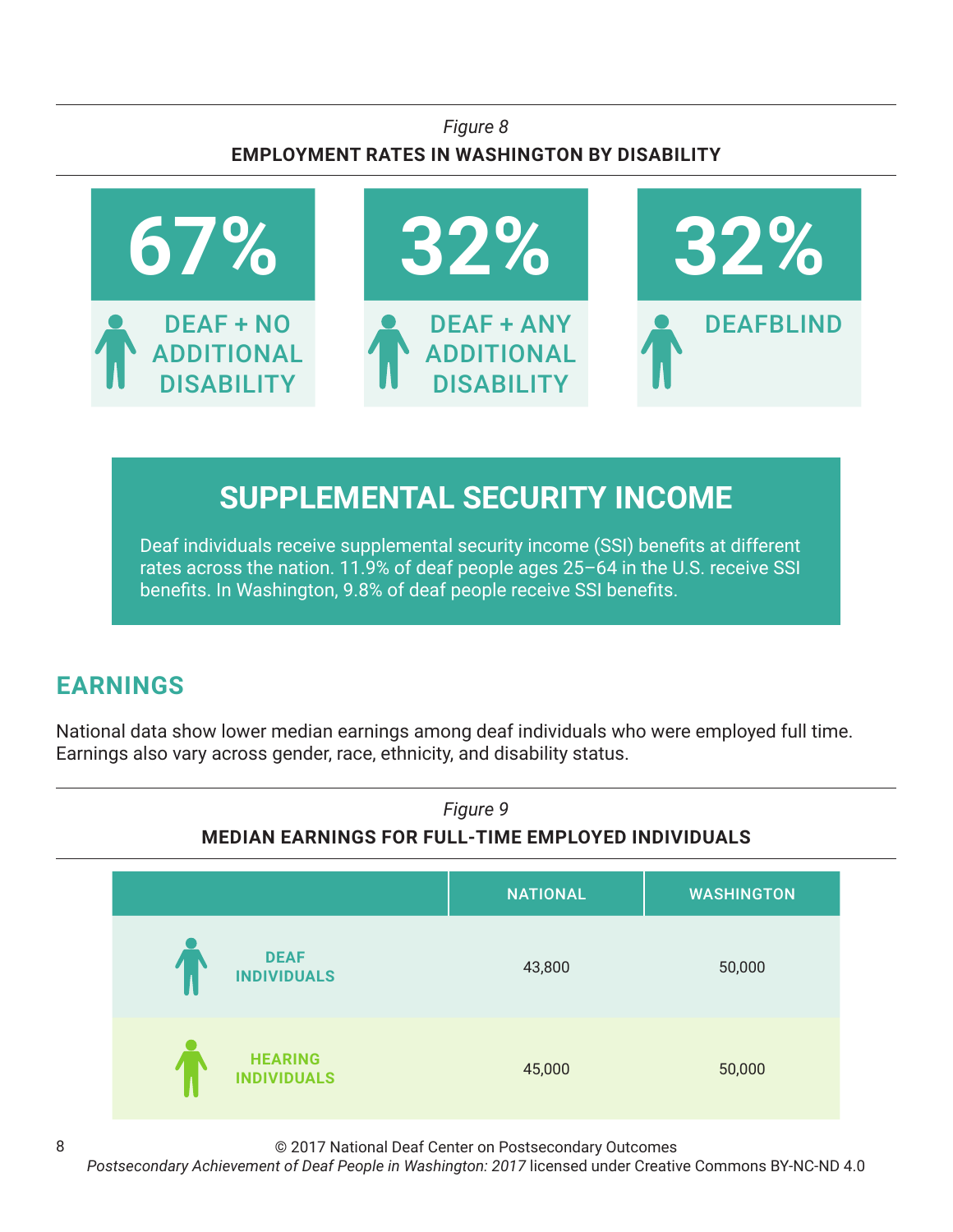## *Figure 8* **EMPLOYMENT RATES IN WASHINGTON BY DISABILITY**



# **SUPPLEMENTAL SECURITY INCOME**

Deaf individuals receive supplemental security income (SSI) benefits at different rates across the nation. 11.9% of deaf people ages 25–64 in the U.S. receive SSI benefits. In Washington, 9.8% of deaf people receive SSI benefits.

# **EARNINGS**

8

National data show lower median earnings among deaf individuals who were employed full time. Earnings also vary across gender, race, ethnicity, and disability status.



© 2017 National Deaf Center on Postsecondary Outcomes

*Postsecondary Achievement of Deaf People in Washington: 2017* licensed under Creative Commons BY-NC-ND 4.0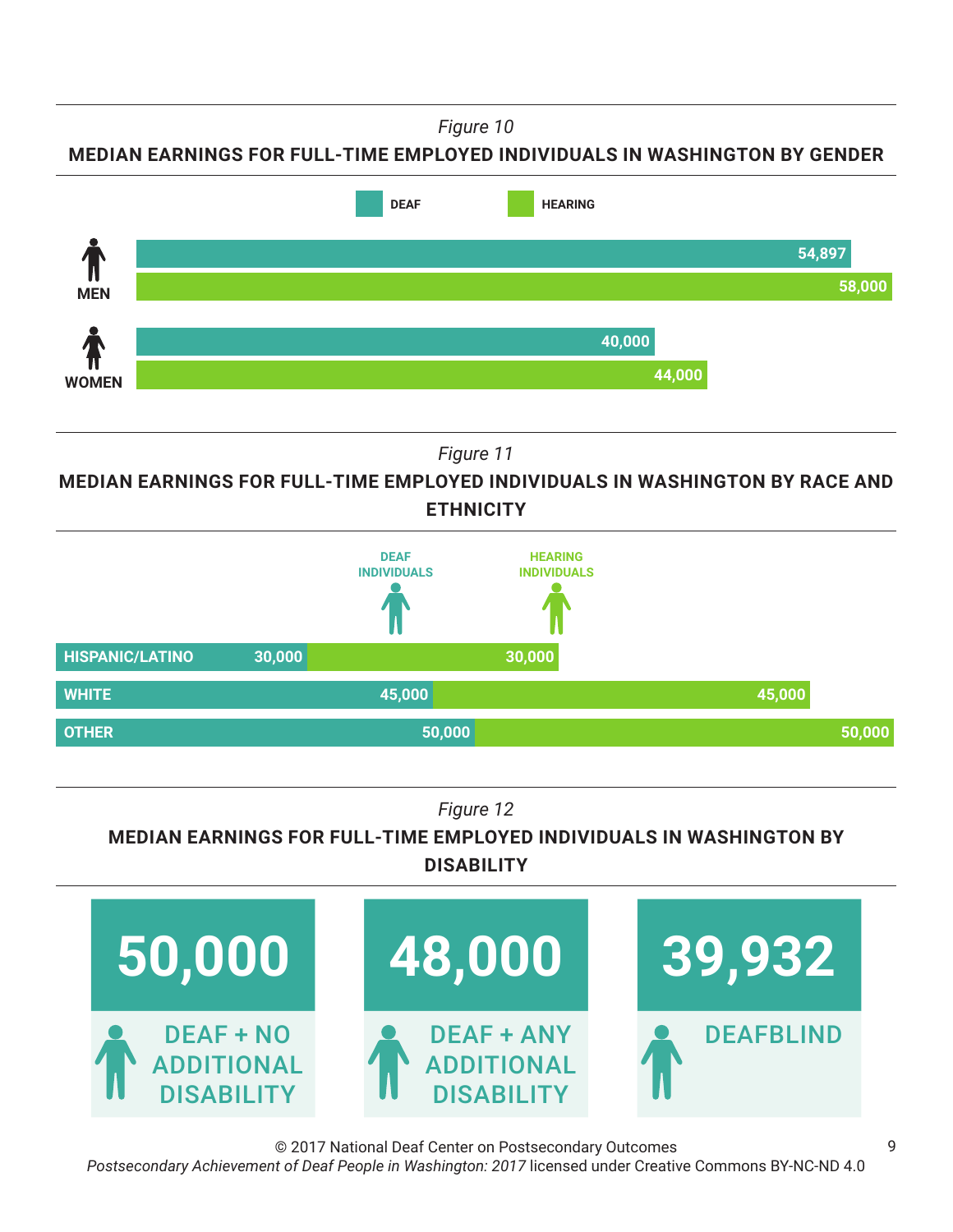*Figure 10*

**MEDIAN EARNINGS FOR FULL-TIME EMPLOYED INDIVIDUALS IN WASHINGTON BY GENDER**



*Figure 11*

**MEDIAN EARNINGS FOR FULL-TIME EMPLOYED INDIVIDUALS IN WASHINGTON BY RACE AND ETHNICITY**



*Figure 12*

**MEDIAN EARNINGS FOR FULL-TIME EMPLOYED INDIVIDUALS IN WASHINGTON BY DISABILITY**



© 2017 National Deaf Center on Postsecondary Outcomes *Postsecondary Achievement of Deaf People in Washington: 2017* licensed under Creative Commons BY-NC-ND 4.0